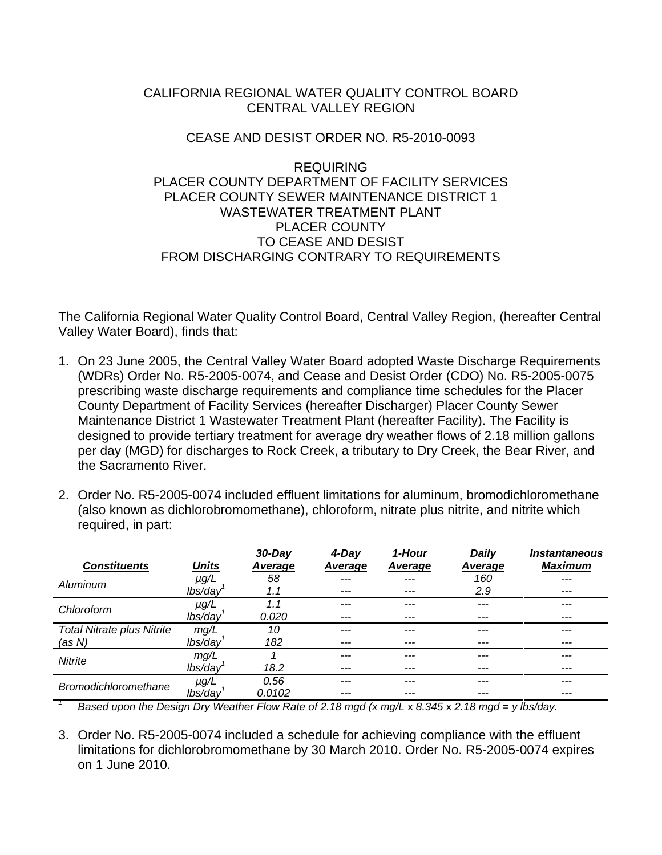## CALIFORNIA REGIONAL WATER QUALITY CONTROL BOARD CENTRAL VALLEY REGION

## CEASE AND DESIST ORDER NO. R5-2010-0093

## REQUIRING PLACER COUNTY DEPARTMENT OF FACILITY SERVICES PLACER COUNTY SEWER MAINTENANCE DISTRICT 1 WASTEWATER TREATMENT PLANT PLACER COUNTY TO CEASE AND DESIST FROM DISCHARGING CONTRARY TO REQUIREMENTS

The California Regional Water Quality Control Board, Central Valley Region, (hereafter Central Valley Water Board), finds that:

- 1. On 23 June 2005, the Central Valley Water Board adopted Waste Discharge Requirements (WDRs) Order No. R5-2005-0074, and Cease and Desist Order (CDO) No. R5-2005-0075 prescribing waste discharge requirements and compliance time schedules for the Placer County Department of Facility Services (hereafter Discharger) Placer County Sewer Maintenance District 1 Wastewater Treatment Plant (hereafter Facility). The Facility is designed to provide tertiary treatment for average dry weather flows of 2.18 million gallons per day (MGD) for discharges to Rock Creek, a tributary to Dry Creek, the Bear River, and the Sacramento River.
- 2. Order No. R5-2005-0074 included effluent limitations for aluminum, bromodichloromethane (also known as dichlorobromomethane), chloroform, nitrate plus nitrite, and nitrite which required, in part:

| <b>Constituents</b>                                                                             | <b>Units</b> | $30$ -Day<br><b>Average</b> | 4-Day<br>Average | 1-Hour<br>Average | Daily<br>Average | <i><b>Instantaneous</b></i><br>Maximum |
|-------------------------------------------------------------------------------------------------|--------------|-----------------------------|------------------|-------------------|------------------|----------------------------------------|
| Aluminum                                                                                        | $\mu$ g/L    | 58                          |                  |                   | 160              |                                        |
|                                                                                                 | lbs/day      | 1.1                         | ---              | ---               | 2.9              | ---                                    |
| Chloroform                                                                                      | $\mu$ g/L    | 1.1                         |                  |                   | ---              |                                        |
|                                                                                                 | lbs/day      | 0.020                       | ---              |                   | ---              | ---                                    |
| <b>Total Nitrate plus Nitrite</b>                                                               | mg/L         | 10                          | ---              |                   | ---              | ---                                    |
| (as N)                                                                                          | lbs/day      | 182                         |                  |                   |                  | ---                                    |
| <b>Nitrite</b>                                                                                  | mg/L         |                             |                  |                   |                  |                                        |
|                                                                                                 | lbs/day      | 18.2                        |                  |                   |                  |                                        |
| <b>Bromodichloromethane</b>                                                                     | $\mu$ g/L    | 0.56                        |                  |                   |                  |                                        |
|                                                                                                 | lbs/day      | 0.0102                      | ---              | ---               | ---              | ---                                    |
| Based upon the Design Dry Weather Flow Rate of 2.18 mgd (x mg/L x 8.345 x 2.18 mgd = y lbs/day. |              |                             |                  |                   |                  |                                        |

3. Order No. R5-2005-0074 included a schedule for achieving compliance with the effluent limitations for dichlorobromomethane by 30 March 2010. Order No. R5-2005-0074 expires on 1 June 2010.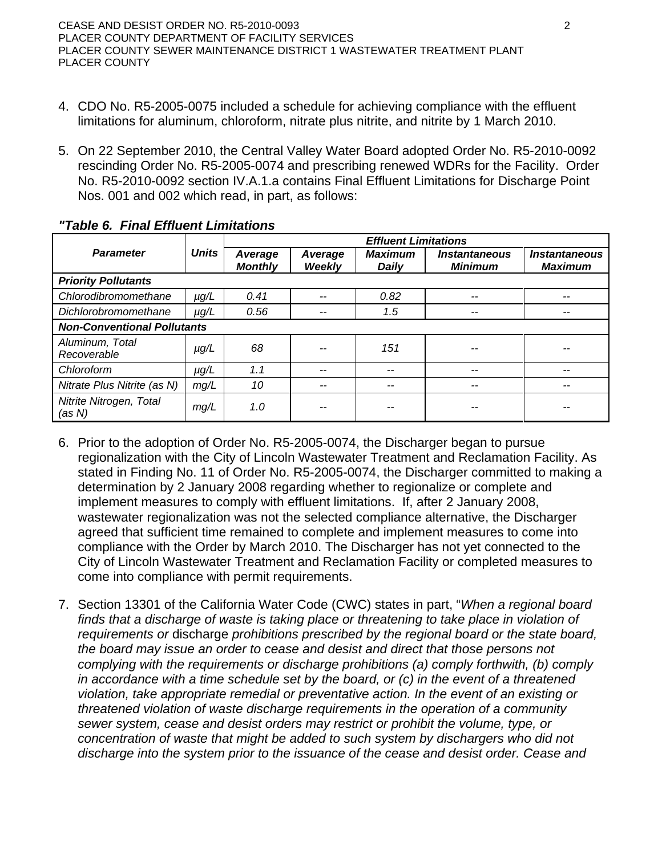- 4. CDO No. R5-2005-0075 included a schedule for achieving compliance with the effluent limitations for aluminum, chloroform, nitrate plus nitrite, and nitrite by 1 March 2010.
- 5. On 22 September 2010, the Central Valley Water Board adopted Order No. R5-2010-0092 rescinding Order No. R5-2005-0074 and prescribing renewed WDRs for the Facility. Order No. R5-2010-0092 section IV.A.1.a contains Final Effluent Limitations for Discharge Point Nos. 001 and 002 which read, in part, as follows:

|                                    |              | <b>Effluent Limitations</b> |                          |                         |                                               |                                               |  |  |  |
|------------------------------------|--------------|-----------------------------|--------------------------|-------------------------|-----------------------------------------------|-----------------------------------------------|--|--|--|
| <b>Parameter</b>                   | <b>Units</b> | Average<br><b>Monthly</b>   | Average<br><b>Weekly</b> | <b>Maximum</b><br>Daily | <i><b>Instantaneous</b></i><br><b>Minimum</b> | <i><b>Instantaneous</b></i><br><b>Maximum</b> |  |  |  |
| <b>Priority Pollutants</b>         |              |                             |                          |                         |                                               |                                               |  |  |  |
| Chlorodibromomethane               | $\mu g/L$    | 0.41                        | --                       | 0.82                    | --                                            |                                               |  |  |  |
| Dichlorobromomethane               | $\mu g/L$    | 0.56                        | --                       | 1.5                     | --                                            | --                                            |  |  |  |
| <b>Non-Conventional Pollutants</b> |              |                             |                          |                         |                                               |                                               |  |  |  |
| Aluminum, Total<br>Recoverable     | $\mu$ g/L    | 68                          |                          | 151                     |                                               |                                               |  |  |  |
| Chloroform                         | $\mu$ g/L    | 1.1                         | --                       | --                      | --                                            |                                               |  |  |  |
| Nitrate Plus Nitrite (as N)        | mg/L         | 10                          | --                       | --                      |                                               |                                               |  |  |  |
| Nitrite Nitrogen, Total<br>(as N)  | mg/L         | 1.0                         |                          |                         |                                               |                                               |  |  |  |

## *"Table 6. Final Effluent Limitations*

- 6. Prior to the adoption of Order No. R5-2005-0074, the Discharger began to pursue regionalization with the City of Lincoln Wastewater Treatment and Reclamation Facility. As stated in Finding No. 11 of Order No. R5-2005-0074, the Discharger committed to making a determination by 2 January 2008 regarding whether to regionalize or complete and implement measures to comply with effluent limitations. If, after 2 January 2008, wastewater regionalization was not the selected compliance alternative, the Discharger agreed that sufficient time remained to complete and implement measures to come into compliance with the Order by March 2010. The Discharger has not yet connected to the City of Lincoln Wastewater Treatment and Reclamation Facility or completed measures to come into compliance with permit requirements.
- 7. Section 13301 of the California Water Code (CWC) states in part, "*When a regional board*  finds that a discharge of waste is taking place or threatening to take place in violation of *requirements or* discharge *prohibitions prescribed by the regional board or the state board, the board may issue an order to cease and desist and direct that those persons not complying with the requirements or discharge prohibitions (a) comply forthwith, (b) comply in accordance with a time schedule set by the board, or (c) in the event of a threatened violation, take appropriate remedial or preventative action. In the event of an existing or threatened violation of waste discharge requirements in the operation of a community sewer system, cease and desist orders may restrict or prohibit the volume, type, or concentration of waste that might be added to such system by dischargers who did not discharge into the system prior to the issuance of the cease and desist order. Cease and*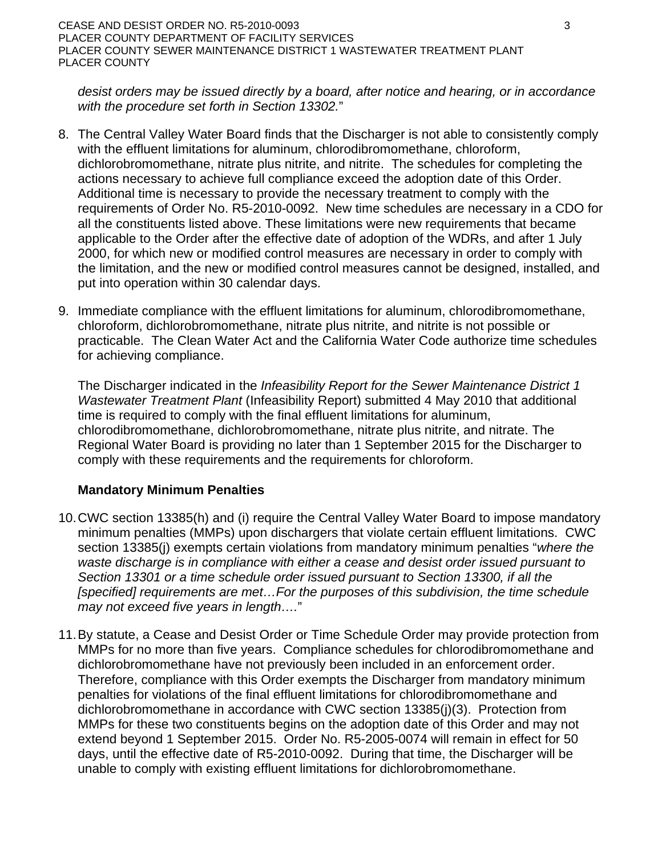*desist orders may be issued directly by a board, after notice and hearing, or in accordance with the procedure set forth in Section 13302.*"

- 8. The Central Valley Water Board finds that the Discharger is not able to consistently comply with the effluent limitations for aluminum, chlorodibromomethane, chloroform, dichlorobromomethane, nitrate plus nitrite, and nitrite. The schedules for completing the actions necessary to achieve full compliance exceed the adoption date of this Order. Additional time is necessary to provide the necessary treatment to comply with the requirements of Order No. R5-2010-0092. New time schedules are necessary in a CDO for all the constituents listed above. These limitations were new requirements that became applicable to the Order after the effective date of adoption of the WDRs, and after 1 July 2000, for which new or modified control measures are necessary in order to comply with the limitation, and the new or modified control measures cannot be designed, installed, and put into operation within 30 calendar days.
- 9. Immediate compliance with the effluent limitations for aluminum, chlorodibromomethane, chloroform, dichlorobromomethane, nitrate plus nitrite, and nitrite is not possible or practicable. The Clean Water Act and the California Water Code authorize time schedules for achieving compliance.

The Discharger indicated in the *Infeasibility Report for the Sewer Maintenance District 1 Wastewater Treatment Plant* (Infeasibility Report) submitted 4 May 2010 that additional time is required to comply with the final effluent limitations for aluminum, chlorodibromomethane, dichlorobromomethane, nitrate plus nitrite, and nitrate. The Regional Water Board is providing no later than 1 September 2015 for the Discharger to comply with these requirements and the requirements for chloroform.

# **Mandatory Minimum Penalties**

- 10. CWC section 13385(h) and (i) require the Central Valley Water Board to impose mandatory minimum penalties (MMPs) upon dischargers that violate certain effluent limitations. CWC section 13385(j) exempts certain violations from mandatory minimum penalties "*where the waste discharge is in compliance with either a cease and desist order issued pursuant to Section 13301 or a time schedule order issued pursuant to Section 13300, if all the [specified] requirements are met…For the purposes of this subdivision, the time schedule may not exceed five years in length….*"
- 11. By statute, a Cease and Desist Order or Time Schedule Order may provide protection from MMPs for no more than five years. Compliance schedules for chlorodibromomethane and dichlorobromomethane have not previously been included in an enforcement order. Therefore, compliance with this Order exempts the Discharger from mandatory minimum penalties for violations of the final effluent limitations for chlorodibromomethane and dichlorobromomethane in accordance with CWC section 13385(j)(3). Protection from MMPs for these two constituents begins on the adoption date of this Order and may not extend beyond 1 September 2015. Order No. R5-2005-0074 will remain in effect for 50 days, until the effective date of R5-2010-0092. During that time, the Discharger will be unable to comply with existing effluent limitations for dichlorobromomethane.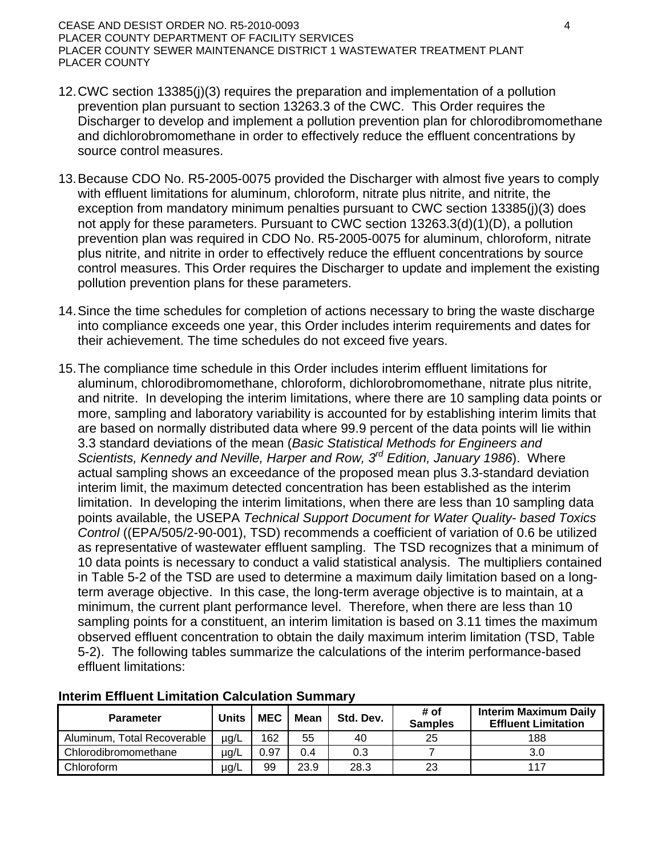### CEASE AND DESIST ORDER NO. R5-2010-0093 4 PLACER COUNTY DEPARTMENT OF FACILITY SERVICES PLACER COUNTY SEWER MAINTENANCE DISTRICT 1 WASTEWATER TREATMENT PLANT PLACER COUNTY

- 12. CWC section 13385(j)(3) requires the preparation and implementation of a pollution prevention plan pursuant to section 13263.3 of the CWC. This Order requires the Discharger to develop and implement a pollution prevention plan for chlorodibromomethane and dichlorobromomethane in order to effectively reduce the effluent concentrations by source control measures.
- 13. Because CDO No. R5-2005-0075 provided the Discharger with almost five years to comply with effluent limitations for aluminum, chloroform, nitrate plus nitrite, and nitrite, the exception from mandatory minimum penalties pursuant to CWC section 13385(j)(3) does not apply for these parameters. Pursuant to CWC section 13263.3(d)(1)(D), a pollution prevention plan was required in CDO No. R5-2005-0075 for aluminum, chloroform, nitrate plus nitrite, and nitrite in order to effectively reduce the effluent concentrations by source control measures. This Order requires the Discharger to update and implement the existing pollution prevention plans for these parameters.
- 14. Since the time schedules for completion of actions necessary to bring the waste discharge into compliance exceeds one year, this Order includes interim requirements and dates for their achievement. The time schedules do not exceed five years.
- 15. The compliance time schedule in this Order includes interim effluent limitations for aluminum, chlorodibromomethane, chloroform, dichlorobromomethane, nitrate plus nitrite, and nitrite. In developing the interim limitations, where there are 10 sampling data points or more, sampling and laboratory variability is accounted for by establishing interim limits that are based on normally distributed data where 99.9 percent of the data points will lie within 3.3 standard deviations of the mean (*Basic Statistical Methods for Engineers and Scientists, Kennedy and Neville, Harper and Row, 3rd Edition, January 1986*). Where actual sampling shows an exceedance of the proposed mean plus 3.3-standard deviation interim limit, the maximum detected concentration has been established as the interim limitation. In developing the interim limitations, when there are less than 10 sampling data points available, the USEPA *Technical Support Document for Water Quality- based Toxics Control* ((EPA/505/2-90-001), TSD) recommends a coefficient of variation of 0.6 be utilized as representative of wastewater effluent sampling. The TSD recognizes that a minimum of 10 data points is necessary to conduct a valid statistical analysis. The multipliers contained in Table 5-2 of the TSD are used to determine a maximum daily limitation based on a longterm average objective. In this case, the long-term average objective is to maintain, at a minimum, the current plant performance level. Therefore, when there are less than 10 sampling points for a constituent, an interim limitation is based on 3.11 times the maximum observed effluent concentration to obtain the daily maximum interim limitation (TSD, Table 5-2). The following tables summarize the calculations of the interim performance-based effluent limitations:

| <b>Parameter</b>            | Units     | <b>MEC</b> | <b>Mean</b> | Std. Dev. | # of<br><b>Samples</b> | <b>Interim Maximum Daily</b><br><b>Effluent Limitation</b> |
|-----------------------------|-----------|------------|-------------|-----------|------------------------|------------------------------------------------------------|
| Aluminum, Total Recoverable | $\mu$ g/L | 162        | 55          | 40        | 25                     | 188                                                        |
| Chlorodibromomethane        | $\mu$ g/L | 0.97       | 0.4         | 0.3       |                        | 3.0                                                        |
| Chloroform                  | µg/L      | 99         | 23.9        | 28.3      | 23                     | 117                                                        |

### **Interim Effluent Limitation Calculation Summary**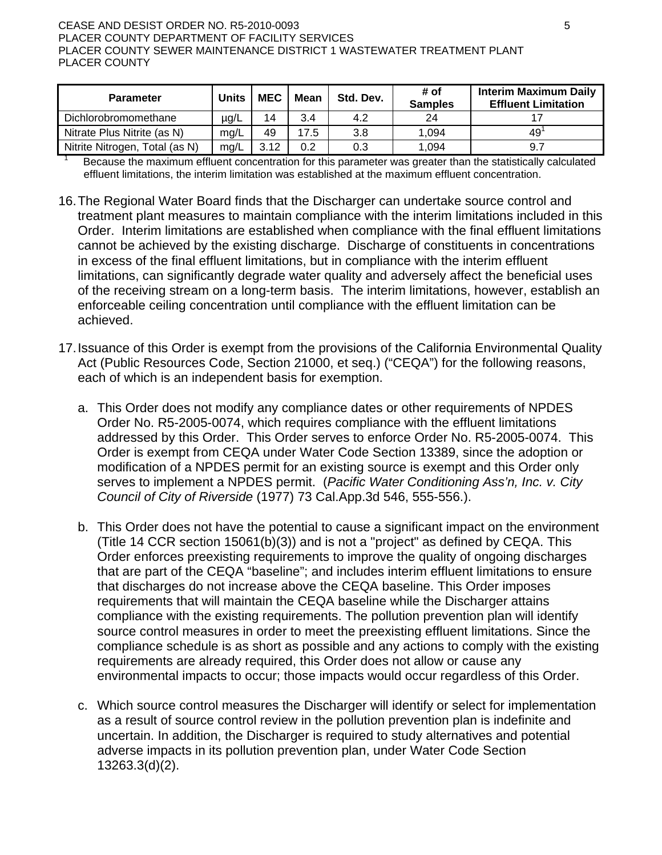#### CEASE AND DESIST ORDER NO. R5-2010-0093 **5 and CEASE AND S** PLACER COUNTY DEPARTMENT OF FACILITY SERVICES PLACER COUNTY SEWER MAINTENANCE DISTRICT 1 WASTEWATER TREATMENT PLANT PLACER COUNTY

1

| <b>Parameter</b>               | <b>Units</b> | <b>MEC</b> | <b>Mean</b> | Std. Dev. | # of<br><b>Samples</b> | <b>Interim Maximum Daily</b><br><b>Effluent Limitation</b> |
|--------------------------------|--------------|------------|-------------|-----------|------------------------|------------------------------------------------------------|
| Dichlorobromomethane           | $\mu$ g/L    | 14         | 3.4         | 4.2       | 24                     |                                                            |
| Nitrate Plus Nitrite (as N)    | ma/L         | 49         | 17.5        | 3.8       | 1,094                  | 49'                                                        |
| Nitrite Nitrogen, Total (as N) | ma/L         | 3.12       | 0.2         | 0.3       | 1.094                  | 9.7                                                        |

 Because the maximum effluent concentration for this parameter was greater than the statistically calculated effluent limitations, the interim limitation was established at the maximum effluent concentration.

- 16. The Regional Water Board finds that the Discharger can undertake source control and treatment plant measures to maintain compliance with the interim limitations included in this Order. Interim limitations are established when compliance with the final effluent limitations cannot be achieved by the existing discharge. Discharge of constituents in concentrations in excess of the final effluent limitations, but in compliance with the interim effluent limitations, can significantly degrade water quality and adversely affect the beneficial uses of the receiving stream on a long-term basis. The interim limitations, however, establish an enforceable ceiling concentration until compliance with the effluent limitation can be achieved.
- 17. Issuance of this Order is exempt from the provisions of the California Environmental Quality Act (Public Resources Code, Section 21000, et seq.) ("CEQA") for the following reasons, each of which is an independent basis for exemption.
	- a. This Order does not modify any compliance dates or other requirements of NPDES Order No. R5-2005-0074, which requires compliance with the effluent limitations addressed by this Order. This Order serves to enforce Order No. R5-2005-0074. This Order is exempt from CEQA under Water Code Section 13389, since the adoption or modification of a NPDES permit for an existing source is exempt and this Order only serves to implement a NPDES permit. (*Pacific Water Conditioning Ass'n, Inc. v. City Council of City of Riverside* (1977) 73 Cal.App.3d 546, 555-556.).
	- b. This Order does not have the potential to cause a significant impact on the environment (Title 14 CCR section 15061(b)(3)) and is not a "project" as defined by CEQA. This Order enforces preexisting requirements to improve the quality of ongoing discharges that are part of the CEQA "baseline"; and includes interim effluent limitations to ensure that discharges do not increase above the CEQA baseline. This Order imposes requirements that will maintain the CEQA baseline while the Discharger attains compliance with the existing requirements. The pollution prevention plan will identify source control measures in order to meet the preexisting effluent limitations. Since the compliance schedule is as short as possible and any actions to comply with the existing requirements are already required, this Order does not allow or cause any environmental impacts to occur; those impacts would occur regardless of this Order.
	- c. Which source control measures the Discharger will identify or select for implementation as a result of source control review in the pollution prevention plan is indefinite and uncertain. In addition, the Discharger is required to study alternatives and potential adverse impacts in its pollution prevention plan, under Water Code Section 13263.3(d)(2).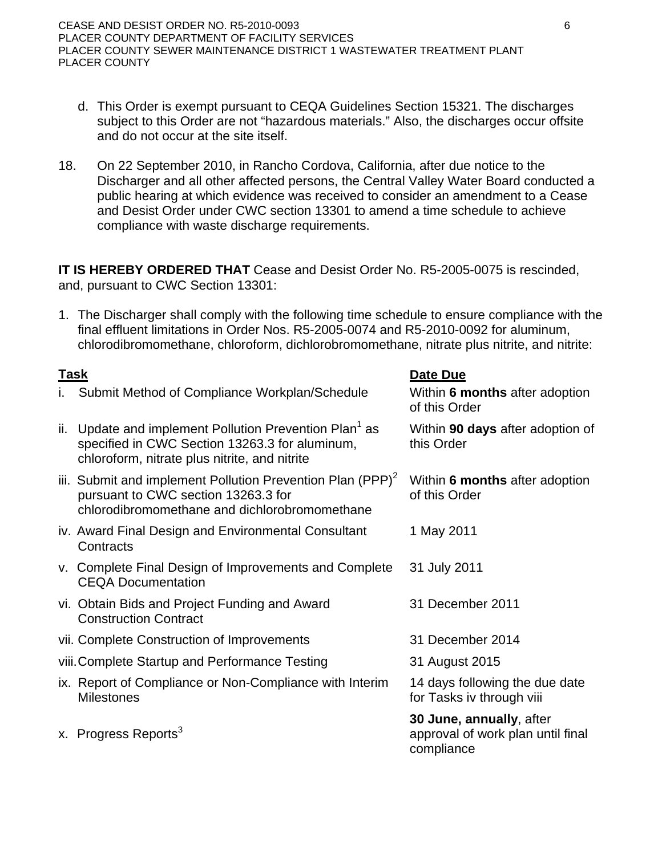- d. This Order is exempt pursuant to CEQA Guidelines Section 15321. The discharges subject to this Order are not "hazardous materials." Also, the discharges occur offsite and do not occur at the site itself.
- 18. On 22 September 2010, in Rancho Cordova, California, after due notice to the Discharger and all other affected persons, the Central Valley Water Board conducted a public hearing at which evidence was received to consider an amendment to a Cease and Desist Order under CWC section 13301 to amend a time schedule to achieve compliance with waste discharge requirements.

**IT IS HEREBY ORDERED THAT** Cease and Desist Order No. R5-2005-0075 is rescinded, and, pursuant to CWC Section 13301:

1. The Discharger shall comply with the following time schedule to ensure compliance with the final effluent limitations in Order Nos. R5-2005-0074 and R5-2010-0092 for aluminum, chlorodibromomethane, chloroform, dichlorobromomethane, nitrate plus nitrite, and nitrite:

| <b>Task</b> |                                                                                                                                                                   | Date Due                                                                    |
|-------------|-------------------------------------------------------------------------------------------------------------------------------------------------------------------|-----------------------------------------------------------------------------|
| Τ.          | Submit Method of Compliance Workplan/Schedule                                                                                                                     | Within 6 months after adoption<br>of this Order                             |
| ii.         | Update and implement Pollution Prevention Plan <sup>1</sup> as<br>specified in CWC Section 13263.3 for aluminum,<br>chloroform, nitrate plus nitrite, and nitrite | Within 90 days after adoption of<br>this Order                              |
|             | iii. Submit and implement Pollution Prevention Plan (PPP) <sup>2</sup><br>pursuant to CWC section 13263.3 for<br>chlorodibromomethane and dichlorobromomethane    | Within 6 months after adoption<br>of this Order                             |
|             | iv. Award Final Design and Environmental Consultant<br>Contracts                                                                                                  | 1 May 2011                                                                  |
|             | v. Complete Final Design of Improvements and Complete<br><b>CEQA Documentation</b>                                                                                | 31 July 2011                                                                |
|             | vi. Obtain Bids and Project Funding and Award<br><b>Construction Contract</b>                                                                                     | 31 December 2011                                                            |
|             | vii. Complete Construction of Improvements                                                                                                                        | 31 December 2014                                                            |
|             | viii. Complete Startup and Performance Testing                                                                                                                    | 31 August 2015                                                              |
|             | ix. Report of Compliance or Non-Compliance with Interim<br><b>Milestones</b>                                                                                      | 14 days following the due date<br>for Tasks iv through viii                 |
|             | x. Progress Reports <sup>3</sup>                                                                                                                                  | 30 June, annually, after<br>approval of work plan until final<br>compliance |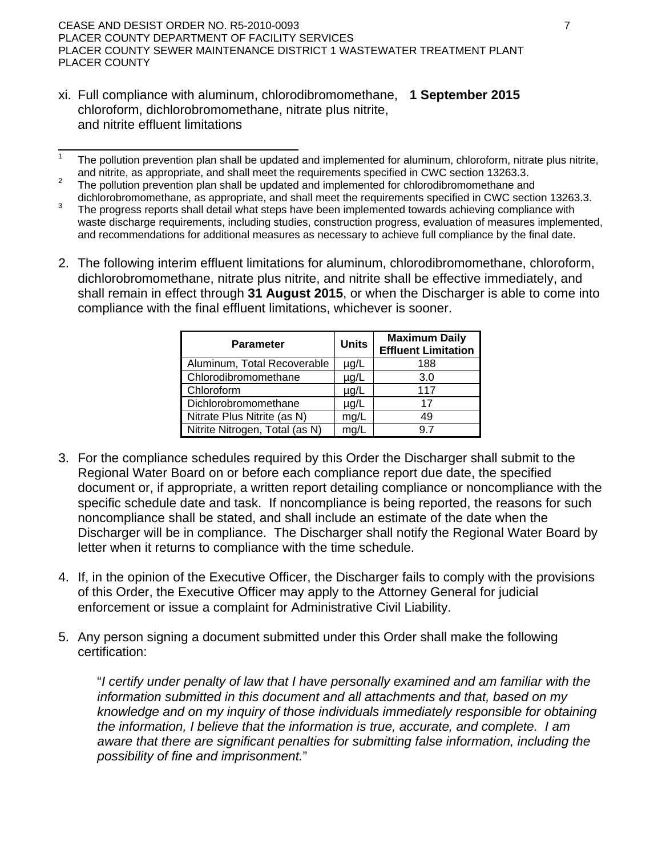CEASE AND DESIST ORDER NO. R5-2010-0093 7 PLACER COUNTY DEPARTMENT OF FACILITY SERVICES PLACER COUNTY SEWER MAINTENANCE DISTRICT 1 WASTEWATER TREATMENT PLANT PLACER COUNTY

xi. Full compliance with aluminum, chlorodibromomethane, **1 September 2015**  chloroform, dichlorobromomethane, nitrate plus nitrite, and nitrite effluent limitations

- 1 The pollution prevention plan shall be updated and implemented for aluminum, chloroform, nitrate plus nitrite, and nitrite, as appropriate, and shall meet the requirements specified in CWC section 13263.3.
- The pollution prevention plan shall be updated and implemented for chlorodibromomethane and dichlorobromomethane, as appropriate, and shall meet the requirements specified in CWC section 13263.3.
- The progress reports shall detail what steps have been implemented towards achieving compliance with waste discharge requirements, including studies, construction progress, evaluation of measures implemented, and recommendations for additional measures as necessary to achieve full compliance by the final date.
- 2. The following interim effluent limitations for aluminum, chlorodibromomethane, chloroform, dichlorobromomethane, nitrate plus nitrite, and nitrite shall be effective immediately, and shall remain in effect through **31 August 2015**, or when the Discharger is able to come into compliance with the final effluent limitations, whichever is sooner.

| <b>Parameter</b>               | <b>Units</b> | <b>Maximum Daily</b><br><b>Effluent Limitation</b> |
|--------------------------------|--------------|----------------------------------------------------|
| Aluminum, Total Recoverable    | µg/L         | 188                                                |
| Chlorodibromomethane           | $\mu$ g/L    | 3.0                                                |
| Chloroform                     | $\mu$ g/L    | 117                                                |
| Dichlorobromomethane           | $\mu$ g/L    | 17                                                 |
| Nitrate Plus Nitrite (as N)    | mg/L         | 49                                                 |
| Nitrite Nitrogen, Total (as N) | ma/L         |                                                    |

- 3. For the compliance schedules required by this Order the Discharger shall submit to the Regional Water Board on or before each compliance report due date, the specified document or, if appropriate, a written report detailing compliance or noncompliance with the specific schedule date and task. If noncompliance is being reported, the reasons for such noncompliance shall be stated, and shall include an estimate of the date when the Discharger will be in compliance. The Discharger shall notify the Regional Water Board by letter when it returns to compliance with the time schedule.
- 4. If, in the opinion of the Executive Officer, the Discharger fails to comply with the provisions of this Order, the Executive Officer may apply to the Attorney General for judicial enforcement or issue a complaint for Administrative Civil Liability.
- 5. Any person signing a document submitted under this Order shall make the following certification:

"*I certify under penalty of law that I have personally examined and am familiar with the information submitted in this document and all attachments and that, based on my knowledge and on my inquiry of those individuals immediately responsible for obtaining the information, I believe that the information is true, accurate, and complete. I am aware that there are significant penalties for submitting false information, including the possibility of fine and imprisonment.*"